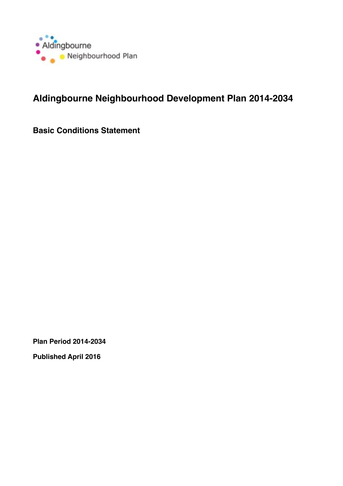

# **Aldingbourne Neighbourhood Development Plan 2014-2034**

**Basic Conditions Statement**

**Plan Period 2014-2034**

**Published April 2016**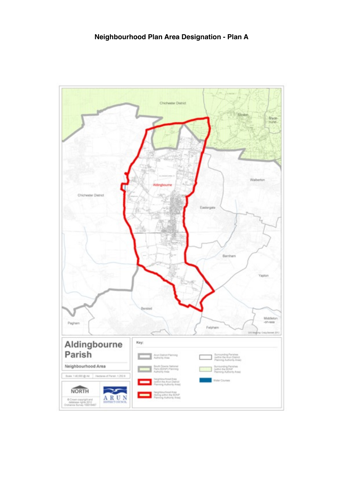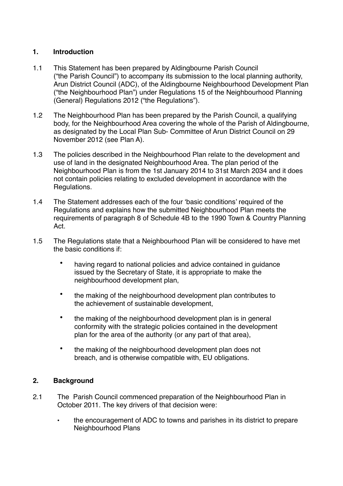## **1. Introduction**

- 1.1 This Statement has been prepared by Aldingbourne Parish Council ("the Parish Council") to accompany its submission to the local planning authority, Arun District Council (ADC), of the Aldingbourne Neighbourhood Development Plan ("the Neighbourhood Plan") under Regulations 15 of the Neighbourhood Planning (General) Regulations 2012 ("the Regulations").
- 1.2 The Neighbourhood Plan has been prepared by the Parish Council, a qualifying body, for the Neighbourhood Area covering the whole of the Parish of Aldingbourne, as designated by the Local Plan Sub- Committee of Arun District Council on 29 November 2012 (see Plan A).
- 1.3 The policies described in the Neighbourhood Plan relate to the development and use of land in the designated Neighbourhood Area. The plan period of the Neighbourhood Plan is from the 1st January 2014 to 31st March 2034 and it does not contain policies relating to excluded development in accordance with the Regulations.
- 1.4 The Statement addresses each of the four 'basic conditions' required of the Regulations and explains how the submitted Neighbourhood Plan meets the requirements of paragraph 8 of Schedule 4B to the 1990 Town & Country Planning Act.
- 1.5 The Regulations state that a Neighbourhood Plan will be considered to have met the basic conditions if:
	- having regard to national policies and advice contained in guidance issued by the Secretary of State, it is appropriate to make the neighbourhood development plan,
	- the making of the neighbourhood development plan contributes to the achievement of sustainable development,
	- the making of the neighbourhood development plan is in general conformity with the strategic policies contained in the development plan for the area of the authority (or any part of that area),
	- the making of the neighbourhood development plan does not breach, and is otherwise compatible with, EU obligations.

## **2. Background**

- 2.1 The Parish Council commenced preparation of the Neighbourhood Plan in October 2011. The key drivers of that decision were:
	- the encouragement of ADC to towns and parishes in its district to prepare Neighbourhood Plans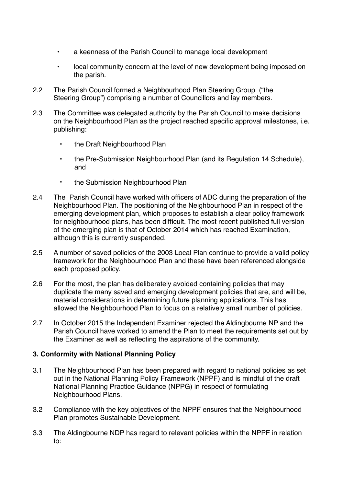- a keenness of the Parish Council to manage local development
- local community concern at the level of new development being imposed on the parish.
- 2.2 The Parish Council formed a Neighbourhood Plan Steering Group ("the Steering Group") comprising a number of Councillors and lay members.
- 2.3 The Committee was delegated authority by the Parish Council to make decisions on the Neighbourhood Plan as the project reached specific approval milestones, i.e. publishing:
	- the Draft Neighbourhood Plan
	- the Pre-Submission Neighbourhood Plan (and its Regulation 14 Schedule), and
	- the Submission Neighbourhood Plan
- 2.4 The Parish Council have worked with officers of ADC during the preparation of the Neighbourhood Plan. The positioning of the Neighbourhood Plan in respect of the emerging development plan, which proposes to establish a clear policy framework for neighbourhood plans, has been difficult. The most recent published full version of the emerging plan is that of October 2014 which has reached Examination, although this is currently suspended.
- 2.5 A number of saved policies of the 2003 Local Plan continue to provide a valid policy framework for the Neighbourhood Plan and these have been referenced alongside each proposed policy.
- 2.6 For the most, the plan has deliberately avoided containing policies that may duplicate the many saved and emerging development policies that are, and will be, material considerations in determining future planning applications. This has allowed the Neighbourhood Plan to focus on a relatively small number of policies.
- 2.7 In October 2015 the Independent Examiner rejected the Aldingbourne NP and the Parish Council have worked to amend the Plan to meet the requirements set out by the Examiner as well as reflecting the aspirations of the community.

## **3. Conformity with National Planning Policy**

- 3.1 The Neighbourhood Plan has been prepared with regard to national policies as set out in the National Planning Policy Framework (NPPF) and is mindful of the draft National Planning Practice Guidance (NPPG) in respect of formulating Neighbourhood Plans.
- 3.2 Compliance with the key objectives of the NPPF ensures that the Neighbourhood Plan promotes Sustainable Development.
- 3.3 The Aldingbourne NDP has regard to relevant policies within the NPPF in relation to: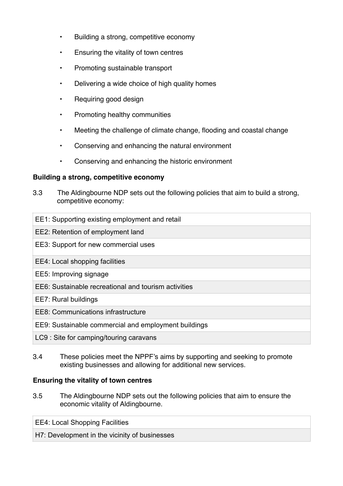- Building a strong, competitive economy
- Ensuring the vitality of town centres
- Promoting sustainable transport
- Delivering a wide choice of high quality homes
- Requiring good design
- Promoting healthy communities
- Meeting the challenge of climate change, flooding and coastal change
- Conserving and enhancing the natural environment
- Conserving and enhancing the historic environment

#### **Building a strong, competitive economy**

- 3.3 The Aldingbourne NDP sets out the following policies that aim to build a strong, competitive economy:
- EE1: Supporting existing employment and retail EE2: Retention of employment land EE3: Support for new commercial uses EE4: Local shopping facilities EE5: Improving signage EE6: Sustainable recreational and tourism activities EE7: Rural buildings EE8: Communications infrastructure EE9: Sustainable commercial and employment buildings LC9 : Site for camping/touring caravans
- 3.4 These policies meet the NPPF's aims by supporting and seeking to promote existing businesses and allowing for additional new services.

## **Ensuring the vitality of town centres**

3.5 The Aldingbourne NDP sets out the following policies that aim to ensure the economic vitality of Aldingbourne.

EE4: Local Shopping Facilities

H7: Development in the vicinity of businesses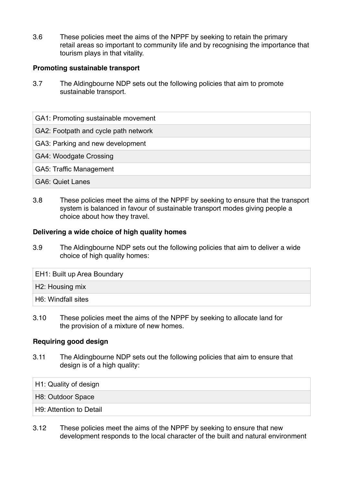3.6 These policies meet the aims of the NPPF by seeking to retain the primary retail areas so important to community life and by recognising the importance that tourism plays in that vitality.

### **Promoting sustainable transport**

3.7 The Aldingbourne NDP sets out the following policies that aim to promote sustainable transport.

GA1: Promoting sustainable movement

GA2: Footpath and cycle path network

GA3: Parking and new development

GA4: Woodgate Crossing

GA5: Traffic Management

GA6: Quiet Lanes

3.8 These policies meet the aims of the NPPF by seeking to ensure that the transport system is balanced in favour of sustainable transport modes giving people a choice about how they travel.

#### **Delivering a wide choice of high quality homes**

3.9 The Aldingbourne NDP sets out the following policies that aim to deliver a wide choice of high quality homes:

EH1: Built up Area Boundary

H2: Housing mix

H6: Windfall sites

3.10 These policies meet the aims of the NPPF by seeking to allocate land for the provision of a mixture of new homes.

#### **Requiring good design**

3.11 The Aldingbourne NDP sets out the following policies that aim to ensure that design is of a high quality:

H1: Quality of design

H8: Outdoor Space

H9: Attention to Detail

3.12 These policies meet the aims of the NPPF by seeking to ensure that new development responds to the local character of the built and natural environment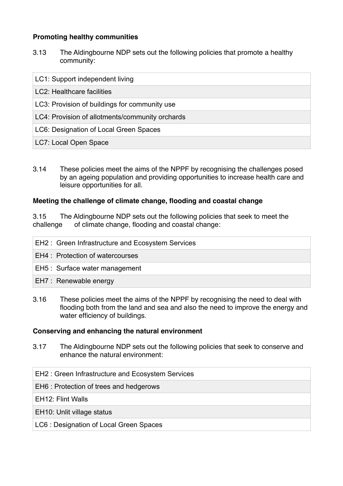## **Promoting healthy communities**

3.13 The Aldingbourne NDP sets out the following policies that promote a healthy community:

| LC1: Support independent living                 |
|-------------------------------------------------|
| LC2: Healthcare facilities                      |
| LC3: Provision of buildings for community use   |
| LC4: Provision of allotments/community orchards |
| LC6: Designation of Local Green Spaces          |
| LC7: Local Open Space                           |

3.14 These policies meet the aims of the NPPF by recognising the challenges posed by an ageing population and providing opportunities to increase health care and leisure opportunities for all.

## **Meeting the challenge of climate change, flooding and coastal change**

3.15 The Aldingbourne NDP sets out the following policies that seek to meet the challenge of climate change, flooding and coastal change:

- EH2 : Green Infrastructure and Ecosystem Services EH4 : Protection of watercourses EH5 : Surface water management EH7 : Renewable energy
- 3.16 These policies meet the aims of the NPPF by recognising the need to deal with flooding both from the land and sea and also the need to improve the energy and water efficiency of buildings.

#### **Conserving and enhancing the natural environment**

3.17 The Aldingbourne NDP sets out the following policies that seek to conserve and enhance the natural environment:

#### EH2 : Green Infrastructure and Ecosystem Services

EH6 : Protection of trees and hedgerows

EH12: Flint Walls

EH10: Unlit village status

LC6 : Designation of Local Green Spaces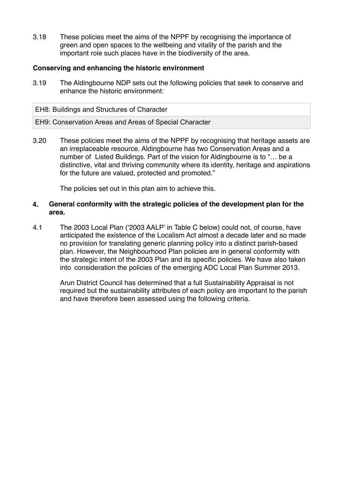3.18 These policies meet the aims of the NPPF by recognising the importance of green and open spaces to the wellbeing and vitality of the parish and the important role such places have in the biodiversity of the area.

#### **Conserving and enhancing the historic environment**

3.19 The Aldingbourne NDP sets out the following policies that seek to conserve and enhance the historic environment:

EH8: Buildings and Structures of Character

#### EH9: Conservation Areas and Areas of Special Character

3.20 These policies meet the aims of the NPPF by recognising that heritage assets are an irreplaceable resource. Aldingbourne has two Conservation Areas and a number of Listed Buildings. Part of the vision for Aldingbourne is to "… be a distinctive, vital and thriving community where its identity, heritage and aspirations for the future are valued, protected and promoted."

The policies set out in this plan aim to achieve this.

#### **4. General conformity with the strategic policies of the development plan for the area.**

4.1 The 2003 Local Plan ('2003 AALP' in Table C below) could not, of course, have anticipated the existence of the Localism Act almost a decade later and so made no provision for translating generic planning policy into a distinct parish-based plan. However, the Neighbourhood Plan policies are in general conformity with the strategic intent of the 2003 Plan and its specific policies. We have also taken into consideration the policies of the emerging ADC Local Plan Summer 2013.

Arun District Council has determined that a full Sustainability Appraisal is not required but the sustainability attributes of each policy are important to the parish and have therefore been assessed using the following criteria.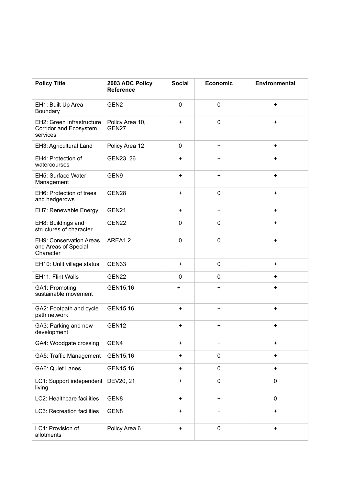| <b>Policy Title</b>                                                 | 2003 ADC Policy<br><b>Reference</b>  | <b>Social</b> | <b>Economic</b> | Environmental |
|---------------------------------------------------------------------|--------------------------------------|---------------|-----------------|---------------|
| EH1: Built Up Area<br>Boundary                                      | GEN <sub>2</sub>                     | $\mathbf 0$   | $\mathbf 0$     | $\ddot{}$     |
| EH2: Green Infrastructure<br>Corridor and Ecosystem<br>services     | Policy Area 10,<br>GEN <sub>27</sub> | $\ddot{}$     | $\mathbf 0$     | $\ddot{}$     |
| EH3: Agricultural Land                                              | Policy Area 12                       | $\mathbf 0$   | $\ddot{}$       | $\ddot{}$     |
| EH4: Protection of<br>watercourses                                  | GEN23, 26                            | $\ddot{}$     | +               | $\ddot{}$     |
| EH5: Surface Water<br>Management                                    | GEN9                                 | $\ddot{}$     | +               | $\ddot{}$     |
| EH6: Protection of trees<br>and hedgerows                           | GEN28                                | $\ddot{}$     | $\mathbf 0$     | $\ddot{}$     |
| EH7: Renewable Energy                                               | GEN21                                | $\ddot{}$     | $\ddot{}$       | $\ddot{}$     |
| EH8: Buildings and<br>structures of character                       | GEN22                                | 0             | $\mathbf 0$     | $\ddot{}$     |
| <b>EH9: Conservation Areas</b><br>and Areas of Special<br>Character | AREA1,2                              | 0             | $\mathbf 0$     | $\ddot{}$     |
| EH10: Unlit village status                                          | GEN33                                | $\ddot{}$     | $\mathbf 0$     | $\ddot{}$     |
| EH11: Flint Walls                                                   | GEN22                                | $\mathbf 0$   | $\mathbf 0$     | $\ddot{}$     |
| GA1: Promoting<br>sustainable movement                              | GEN15,16                             | $\ddot{}$     | +               | $\ddot{}$     |
| GA2: Footpath and cycle<br>path network                             | GEN15,16                             | $\ddot{}$     | +               | $\ddot{}$     |
| GA3: Parking and new<br>development                                 | GEN <sub>12</sub>                    | $\ddot{}$     | $\pmb{+}$       | +             |
| GA4: Woodgate crossing                                              | GEN4                                 | $\ddot{}$     | +               | $\ddot{}$     |
| GA5: Traffic Management                                             | GEN15,16                             | +             | $\mathbf 0$     | $\ddot{}$     |
| GA6: Quiet Lanes                                                    | GEN15,16                             | $\ddot{}$     | $\mathbf 0$     | +             |
| LC1: Support independent<br>living                                  | DEV20, 21                            | +             | $\mathbf 0$     | 0             |
| LC2: Healthcare facilities                                          | GEN8                                 | $\ddot{}$     | +               | $\mathbf 0$   |
| LC3: Recreation facilities                                          | GEN8                                 | +             | +               | +             |
| LC4: Provision of<br>allotments                                     | Policy Area 6                        | +             | $\pmb{0}$       | +             |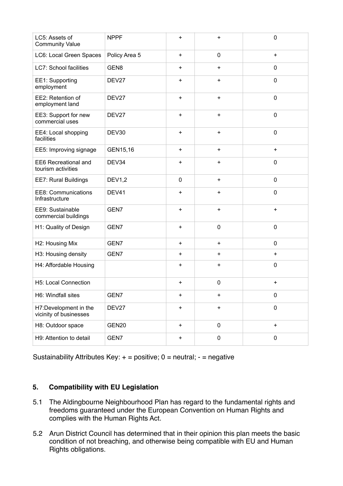| LC5: Assets of<br><b>Community Value</b>          | <b>NPPF</b>   | +         | $\ddot{}$   | $\mathbf 0$ |
|---------------------------------------------------|---------------|-----------|-------------|-------------|
| LC6: Local Green Spaces                           | Policy Area 5 | $+$       | $\mathbf 0$ | $+$         |
| <b>LC7: School facilities</b>                     | GEN8          | $\ddot{}$ | $\ddot{}$   | 0           |
| EE1: Supporting<br>employment                     | DEV27         | $\ddot{}$ | $\ddot{}$   | $\mathbf 0$ |
| EE2: Retention of<br>employment land              | DEV27         | $\ddot{}$ | $\bf +$     | $\mathbf 0$ |
| EE3: Support for new<br>commercial uses           | DEV27         | $\ddot{}$ | $\ddot{}$   | $\mathbf 0$ |
| EE4: Local shopping<br>facilities                 | DEV30         | +         | $\ddot{}$   | $\mathbf 0$ |
| EE5: Improving signage                            | GEN15,16      | +         | $\bf +$     | $\ddot{}$   |
| <b>EE6 Recreational and</b><br>tourism activities | DEV34         | +         | $\ddot{}$   | $\mathbf 0$ |
| EE7: Rural Buildings                              | <b>DEV1,2</b> | 0         | $\ddot{}$   | $\mathbf 0$ |
| <b>EE8: Communications</b><br>Infrastructure      | DEV41         | $\ddot{}$ | $\ddot{}$   | $\mathbf 0$ |
| EE9: Sustainable<br>commercial buildings          | GEN7          | $\ddot{}$ | $\ddot{}$   | $\ddot{}$   |
| H1: Quality of Design                             | GEN7          | $\ddot{}$ | $\mathbf 0$ | $\mathbf 0$ |
| H2: Housing Mix                                   | GEN7          | +         | $\ddot{}$   | 0           |
| H3: Housing density                               | GEN7          | $\ddot{}$ | $\ddot{}$   | $\ddot{}$   |
| H4: Affordable Housing                            |               | +         | $\ddot{}$   | $\mathbf 0$ |
| H5: Local Connection                              |               | $\ddot{}$ | $\mathbf 0$ | $\ddot{}$   |
| H6: Windfall sites                                | GEN7          | +         | $\ddot{}$   | 0           |
| H7:Development in the<br>vicinity of businesses   | DEV27         | +         | $\bf +$     | $\mathbf 0$ |
| H8: Outdoor space                                 | GEN20         | $+$       | $\pmb{0}$   | $\ddot{}$   |
| H9: Attention to detail                           | GEN7          | $\ddot{}$ | $\pmb{0}$   | 0           |

Sustainability Attributes Key:  $+$  = positive; 0 = neutral;  $-$  = negative

## **5. Compatibility with EU Legislation**

- 5.1 The Aldingbourne Neighbourhood Plan has regard to the fundamental rights and freedoms guaranteed under the European Convention on Human Rights and complies with the Human Rights Act.
- 5.2 Arun District Council has determined that in their opinion this plan meets the basic condition of not breaching, and otherwise being compatible with EU and Human Rights obligations.